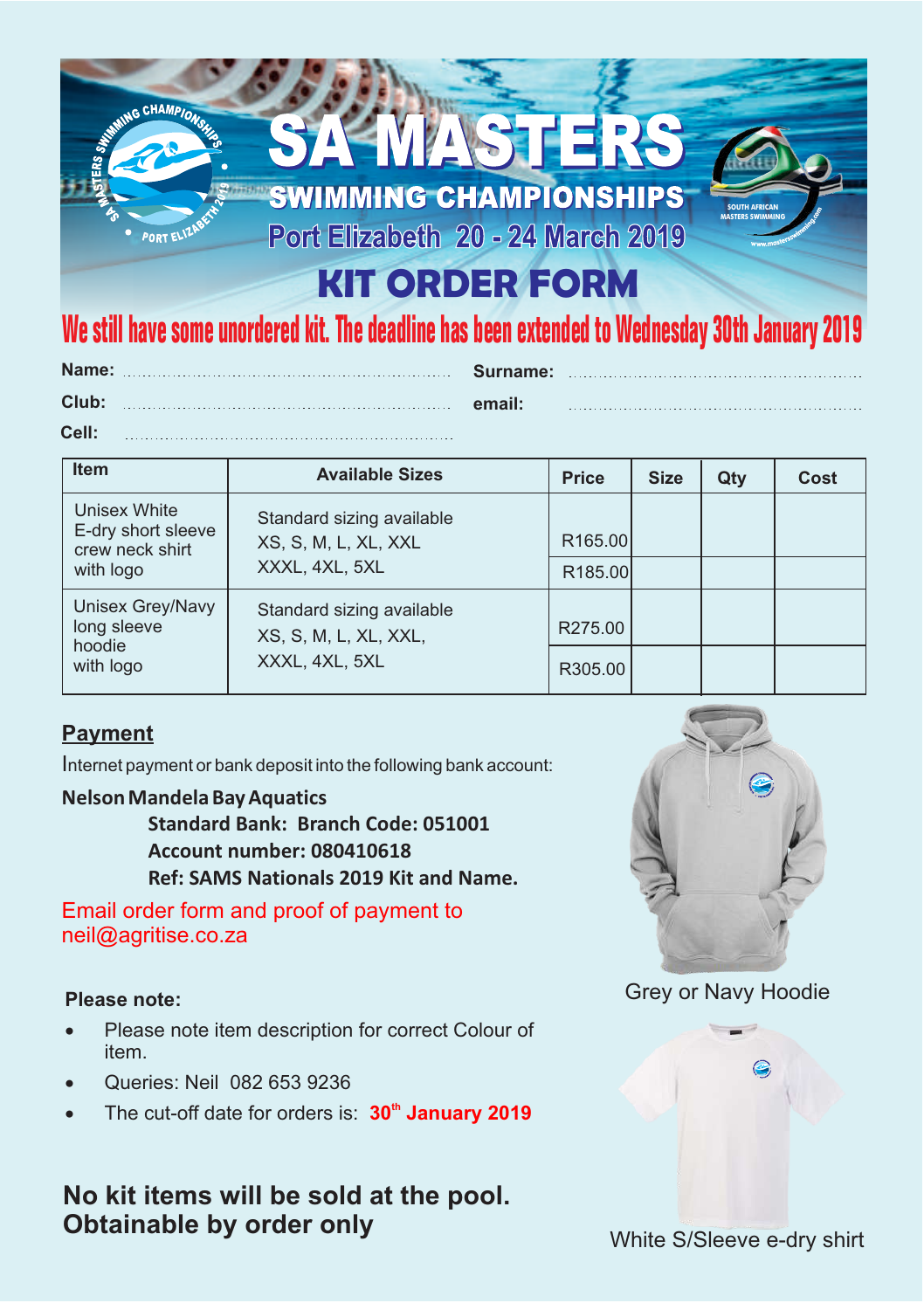# CHAMPIONS 小洋自主 **SWIMMING CHAMPIONSHIPS SOUTH AFRICAN** Port Elizabeth 20 - 24 March 2019 **MASTERS SWIMMING** PORT EL **KIT ORDER FORM We still have some unordered kit. The deadline has been extended to Wednesday 30th January 2019**

|       | Name: Surname: |        |
|-------|----------------|--------|
| Club: |                | email: |
| Cell: |                |        |

| <b>Item</b>                                           | <b>Available Sizes</b>                                               | <b>Price</b>        | <b>Size</b> | Qty | Cost |
|-------------------------------------------------------|----------------------------------------------------------------------|---------------------|-------------|-----|------|
| Unisex White<br>E-dry short sleeve<br>crew neck shirt | Standard sizing available<br>XS, S, M, L, XL, XXL<br>XXXL, 4XL, 5XL  | R <sub>165.00</sub> |             |     |      |
| with logo                                             |                                                                      | R <sub>185.00</sub> |             |     |      |
| Unisex Grey/Navy<br>long sleeve                       | Standard sizing available<br>XS, S, M, L, XL, XXL,<br>XXXL, 4XL, 5XL | R275.00             |             |     |      |
| hoodie<br>with logo                                   |                                                                      | R305.00             |             |     |      |

### **Payment**

Internet payment or bank deposit into the following bank account:

#### **Nelson Mandela Bay Aquatics**

**Standard Bank: Branch Code: 051001 Account number: 080410618 Ref: SAMS Nationals 2019 Kit and Name.**

Email order form and proof of payment to neil@agritise.co.za

#### **Please note:**

- Please note item description for correct Colour of item.
- · Queries: Neil 082 653 9236
- The cut-off date for orders is: **30<sup>th</sup> January 2019**

# **No kit items will be sold at the pool. Obtainable by order only**



## Grey or Navy Hoodie

White S/Sleeve e-dry shirt